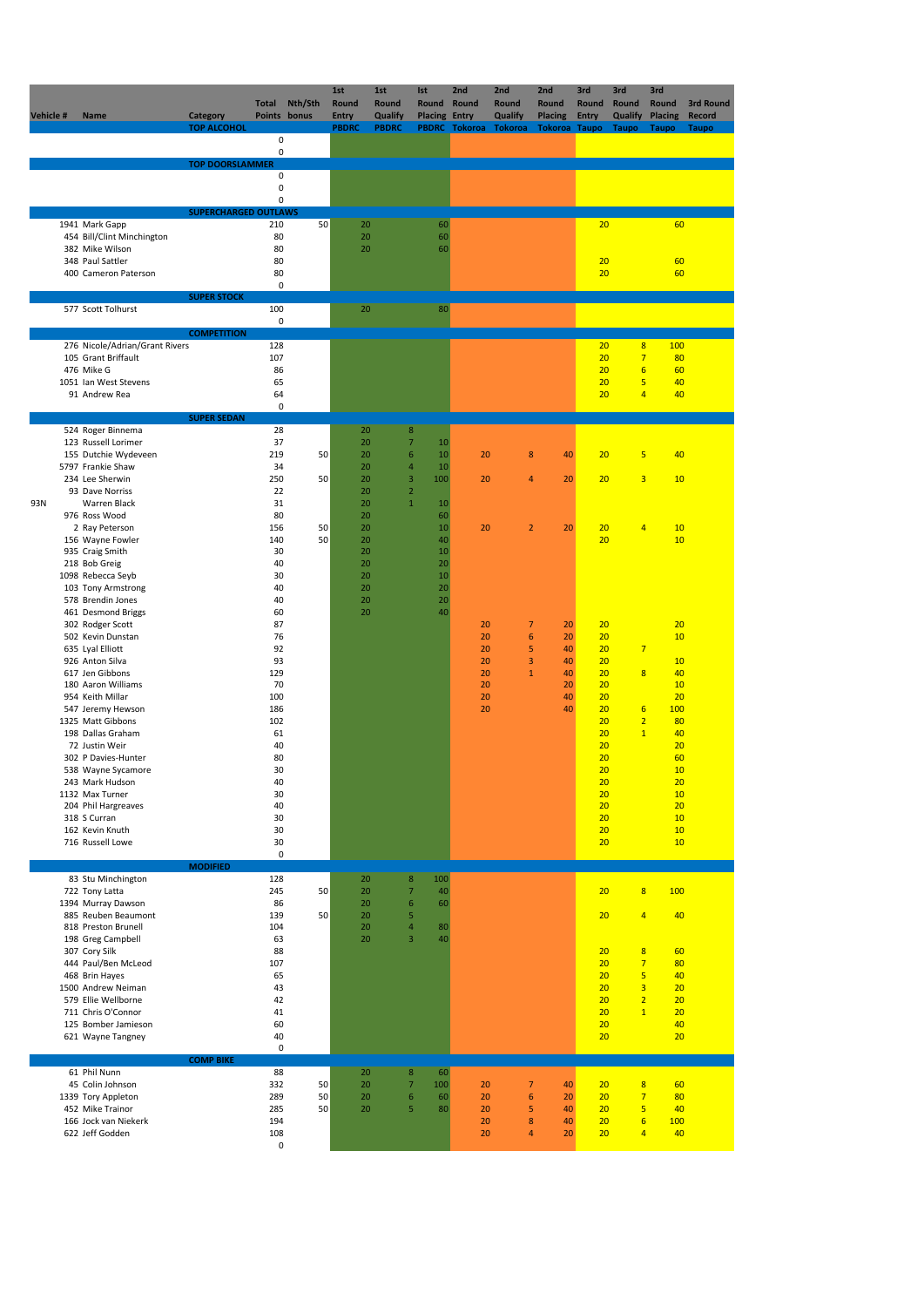| Vehicle # | Name                                                  | Category<br><b>TOP ALCOHOL</b> | <b>Total</b>     | Nth/Sth<br>Points bonus | 1st<br>Round<br><b>Entry</b><br><b>PBDRC</b> | 1st<br>Round<br>Qualify<br><b>PBDRC</b> | Ist<br>Round<br><b>Placing Entry</b> | 2nd<br>Round<br>PBDRC Tokoroa Tokoroa | 2nd<br>Round<br>Qualify | 2nd<br>Round<br><b>Placing</b><br><b>Tokoroa Taupo</b> | 3rd<br>Round<br><b>Entry</b> | 3rd<br>Round<br>Qualify<br><b>Taupo</b> | 3rd<br>Round<br><b>Placing</b><br><b>Taupo</b> | 3rd Round<br><b>Record</b><br><b>Taupo</b> |
|-----------|-------------------------------------------------------|--------------------------------|------------------|-------------------------|----------------------------------------------|-----------------------------------------|--------------------------------------|---------------------------------------|-------------------------|--------------------------------------------------------|------------------------------|-----------------------------------------|------------------------------------------------|--------------------------------------------|
|           |                                                       |                                | $\mathsf 0$<br>0 |                         |                                              |                                         |                                      |                                       |                         |                                                        |                              |                                         |                                                |                                            |
|           |                                                       | <b>TOP DOORSLAMMER</b>         | $\pmb{0}$        |                         |                                              |                                         |                                      |                                       |                         |                                                        |                              |                                         |                                                |                                            |
|           |                                                       |                                | 0                |                         |                                              |                                         |                                      |                                       |                         |                                                        |                              |                                         |                                                |                                            |
|           |                                                       | <b>SUPERCHARGED OUTLAWS</b>    | 0                |                         |                                              |                                         |                                      |                                       |                         |                                                        |                              |                                         |                                                |                                            |
|           | 1941 Mark Gapp                                        |                                | 210              | 50                      | 20                                           |                                         | 60                                   |                                       |                         |                                                        | 20                           |                                         | 60                                             |                                            |
|           | 454 Bill/Clint Minchington<br>382 Mike Wilson         |                                | 80<br>80         |                         | 20<br>20                                     |                                         | 60<br>60                             |                                       |                         |                                                        |                              |                                         |                                                |                                            |
|           | 348 Paul Sattler                                      |                                | 80               |                         |                                              |                                         |                                      |                                       |                         |                                                        | 20                           |                                         | 60                                             |                                            |
|           | 400 Cameron Paterson                                  |                                | 80<br>$\pmb{0}$  |                         |                                              |                                         |                                      |                                       |                         |                                                        | 20                           |                                         | 60                                             |                                            |
|           |                                                       | <b>SUPER STOCK</b>             |                  |                         |                                              |                                         |                                      |                                       |                         |                                                        |                              |                                         |                                                |                                            |
|           | 577 Scott Tolhurst                                    |                                | 100<br>0         |                         | 20                                           |                                         | 80                                   |                                       |                         |                                                        |                              |                                         |                                                |                                            |
|           |                                                       | <b>COMPETITION</b>             |                  |                         |                                              |                                         |                                      |                                       |                         |                                                        |                              |                                         |                                                |                                            |
|           | 276 Nicole/Adrian/Grant Rivers<br>105 Grant Briffault |                                | 128<br>107       |                         |                                              |                                         |                                      |                                       |                         |                                                        | 20<br>20                     | 8<br>$\overline{7}$                     | 100<br>80                                      |                                            |
|           | 476 Mike G                                            |                                | 86               |                         |                                              |                                         |                                      |                                       |                         |                                                        | 20                           | $6\overline{6}$                         | 60                                             |                                            |
|           | 1051 Ian West Stevens<br>91 Andrew Rea                |                                | 65<br>64         |                         |                                              |                                         |                                      |                                       |                         |                                                        | 20<br>20                     | 5<br>$\overline{4}$                     | 40<br>40                                       |                                            |
|           |                                                       | <b>SUPER SEDAN</b>             | $\pmb{0}$        |                         |                                              |                                         |                                      |                                       |                         |                                                        |                              |                                         |                                                |                                            |
|           | 524 Roger Binnema                                     |                                | 28               |                         | 20                                           | $\boldsymbol{8}$                        |                                      |                                       |                         |                                                        |                              |                                         |                                                |                                            |
|           | 123 Russell Lorimer<br>155 Dutchie Wydeveen           |                                | 37<br>219        | 50                      | 20<br>20                                     | $\overline{7}$<br>6                     | 10<br>10                             | 20                                    | 8                       | 40                                                     | 20                           | 5                                       | 40                                             |                                            |
|           | 5797 Frankie Shaw                                     |                                | 34               |                         | 20                                           | $\overline{4}$                          | $10\,$                               |                                       |                         |                                                        |                              |                                         |                                                |                                            |
|           | 234 Lee Sherwin<br>93 Dave Norriss                    |                                | 250<br>22        | 50                      | 20<br>20                                     | $\mathsf 3$<br>$\mathbf 2$              | 100                                  | 20                                    | $\overline{4}$          | 20                                                     | 20                           | 3                                       | 10                                             |                                            |
| 93N       | Warren Black                                          |                                | 31               |                         | 20                                           | $\mathbf{1}$                            | 10                                   |                                       |                         |                                                        |                              |                                         |                                                |                                            |
|           | 976 Ross Wood<br>2 Ray Peterson                       |                                | 80<br>156        | 50                      | 20<br>20                                     |                                         | 60<br>$10\,$                         | 20                                    | $\overline{2}$          | 20                                                     | 20                           | $\overline{4}$                          | 10                                             |                                            |
|           | 156 Wayne Fowler                                      |                                | 140              | 50                      | 20                                           |                                         | 40                                   |                                       |                         |                                                        | 20                           |                                         | 10                                             |                                            |
|           | 935 Craig Smith<br>218 Bob Greig                      |                                | 30<br>40         |                         | 20<br>20                                     |                                         | 10<br>20                             |                                       |                         |                                                        |                              |                                         |                                                |                                            |
|           | 1098 Rebecca Seyb                                     |                                | 30               |                         | 20                                           |                                         | 10                                   |                                       |                         |                                                        |                              |                                         |                                                |                                            |
|           | 103 Tony Armstrong<br>578 Brendin Jones               |                                | 40<br>40         |                         | 20<br>20                                     |                                         | 20<br>20                             |                                       |                         |                                                        |                              |                                         |                                                |                                            |
|           | 461 Desmond Briggs                                    |                                | 60               |                         | 20                                           |                                         | 40                                   |                                       |                         |                                                        |                              |                                         |                                                |                                            |
|           | 302 Rodger Scott<br>502 Kevin Dunstan                 |                                | 87<br>76         |                         |                                              |                                         |                                      | 20<br>20                              | $\overline{7}$<br>6     | 20<br>20                                               | 20<br>20                     |                                         | 20<br>10                                       |                                            |
|           | 635 Lyal Elliott                                      |                                | 92               |                         |                                              |                                         |                                      | 20                                    | 5                       | 40                                                     | 20                           | $\overline{7}$                          |                                                |                                            |
|           | 926 Anton Silva<br>617 Jen Gibbons                    |                                | 93<br>129        |                         |                                              |                                         |                                      | 20<br>20                              | 3<br>$\mathbf{1}$       | 40<br>40                                               | 20<br>20                     | $\overline{8}$                          | 10<br>40                                       |                                            |
|           | 180 Aaron Williams                                    |                                | 70               |                         |                                              |                                         |                                      | 20                                    |                         | 20                                                     | 20                           |                                         | 10                                             |                                            |
|           | 954 Keith Millar<br>547 Jeremy Hewson                 |                                | 100<br>186       |                         |                                              |                                         |                                      | 20<br>20                              |                         | 40<br>40                                               | 20<br>20                     | $6\phantom{1}6$                         | 20<br>100                                      |                                            |
|           | 1325 Matt Gibbons                                     |                                | 102              |                         |                                              |                                         |                                      |                                       |                         |                                                        | 20                           | $\overline{2}$                          | 80                                             |                                            |
|           | 198 Dallas Graham<br>72 Justin Weir                   |                                | 61<br>40         |                         |                                              |                                         |                                      |                                       |                         |                                                        | 20<br>20                     | $\mathbf{1}$                            | 40<br>20                                       |                                            |
|           | 302 P Davies-Hunter                                   |                                | 80               |                         |                                              |                                         |                                      |                                       |                         |                                                        | 20                           |                                         | 60                                             |                                            |
|           | 538 Wayne Sycamore<br>243 Mark Hudson                 |                                | 30<br>40         |                         |                                              |                                         |                                      |                                       |                         |                                                        | 20<br><u>20</u>              |                                         | 10<br><u>20</u>                                |                                            |
|           | 1132 Max Turner                                       |                                | 30               |                         |                                              |                                         |                                      |                                       |                         |                                                        | 20                           |                                         | 10                                             |                                            |
|           | 204 Phil Hargreaves<br>318 S Curran                   |                                | 40<br>30         |                         |                                              |                                         |                                      |                                       |                         |                                                        | 20<br>20                     |                                         | 20<br>10                                       |                                            |
|           | 162 Kevin Knuth<br>716 Russell Lowe                   |                                | 30<br>30         |                         |                                              |                                         |                                      |                                       |                         |                                                        | 20<br>20                     |                                         | 10<br>10                                       |                                            |
|           |                                                       |                                | $\pmb{0}$        |                         |                                              |                                         |                                      |                                       |                         |                                                        |                              |                                         |                                                |                                            |
|           | 83 Stu Minchington                                    | <b>MODIFIED</b>                | 128              |                         | 20                                           | $\boldsymbol{8}$                        | 100                                  |                                       |                         |                                                        |                              |                                         |                                                |                                            |
|           | 722 Tony Latta                                        |                                | 245              | 50                      | 20                                           | $\overline{7}$                          | 40                                   |                                       |                         |                                                        | 20                           | 8                                       | 100                                            |                                            |
|           | 1394 Murray Dawson<br>885 Reuben Beaumont             |                                | 86<br>139        | 50                      | 20<br>20                                     | $\boldsymbol{6}$<br>5                   | 60                                   |                                       |                         |                                                        | 20                           | $\overline{4}$                          | 40                                             |                                            |
|           | 818 Preston Brunell                                   |                                | 104              |                         | 20                                           | $\overline{4}$                          | 80                                   |                                       |                         |                                                        |                              |                                         |                                                |                                            |
|           | 198 Greg Campbell<br>307 Cory Silk                    |                                | 63<br>88         |                         | 20                                           | 3                                       | 40                                   |                                       |                         |                                                        | 20                           | $\boldsymbol{8}$                        | 60                                             |                                            |
|           | 444 Paul/Ben McLeod                                   |                                | 107              |                         |                                              |                                         |                                      |                                       |                         |                                                        | 20                           | $\overline{7}$                          | 80                                             |                                            |
|           | 468 Brin Hayes<br>1500 Andrew Neiman                  |                                | 65<br>43         |                         |                                              |                                         |                                      |                                       |                         |                                                        | 20<br>20                     | $\overline{5}$<br>3                     | 40<br>20                                       |                                            |
|           | 579 Ellie Wellborne<br>711 Chris O'Connor             |                                | 42<br>41         |                         |                                              |                                         |                                      |                                       |                         |                                                        | 20<br>20                     | $\overline{2}$<br>$\mathbf{1}$          | 20<br>20                                       |                                            |
|           | 125 Bomber Jamieson                                   |                                | 60               |                         |                                              |                                         |                                      |                                       |                         |                                                        | 20                           |                                         | 40                                             |                                            |
|           | 621 Wayne Tangney                                     |                                | 40<br>$\pmb{0}$  |                         |                                              |                                         |                                      |                                       |                         |                                                        | 20                           |                                         | 20                                             |                                            |
|           |                                                       | <b>COMP BIKE</b>               |                  |                         |                                              |                                         |                                      |                                       |                         |                                                        |                              |                                         |                                                |                                            |
|           | 61 Phil Nunn<br>45 Colin Johnson                      |                                | 88<br>332        | 50                      | 20<br>20                                     | $\bf 8$<br>$\overline{7}$               | 60<br>100                            | 20                                    | $\overline{7}$          | 40                                                     | 20                           | $\overline{\mathbf{8}}$                 | 60                                             |                                            |
|           | 1339 Tory Appleton                                    |                                | 289              | 50                      | 20                                           | $6\,$                                   | 60                                   | 20                                    | $6\phantom{1}6$         | 20                                                     | 20                           | $\overline{7}$                          | 80                                             |                                            |
|           | 452 Mike Trainor<br>166 Jock van Niekerk              |                                | 285<br>194       | 50                      | 20                                           | 5                                       | 80                                   | 20<br>20                              | 5<br>$\bf 8$            | 40<br>40                                               | 20<br>20                     | 5<br>$6\phantom{1}6$                    | 40<br><b>100</b>                               |                                            |
|           | 622 Jeff Godden                                       |                                | 108              |                         |                                              |                                         |                                      | 20                                    | $\overline{4}$          | 20                                                     | 20                           | $\overline{4}$                          | 40                                             |                                            |
|           |                                                       |                                | $\pmb{0}$        |                         |                                              |                                         |                                      |                                       |                         |                                                        |                              |                                         |                                                |                                            |